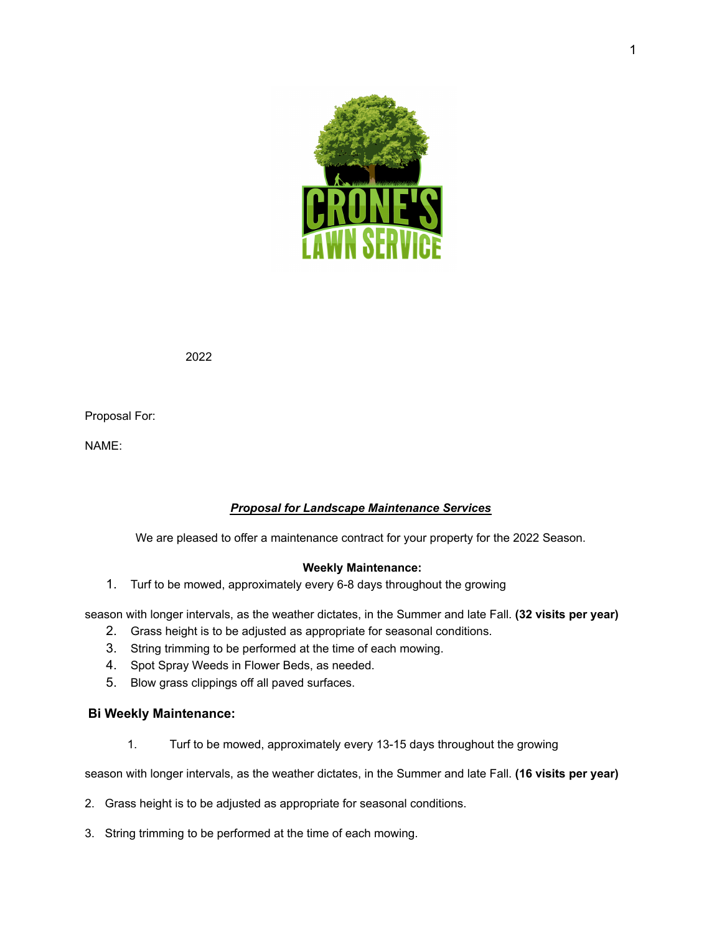

2022

Proposal For:

NAME:

# *Proposal for Landscape Maintenance Services*

We are pleased to offer a maintenance contract for your property for the 2022 Season.

#### **Weekly Maintenance:**

1. Turf to be mowed, approximately every 6-8 days throughout the growing

season with longer intervals, as the weather dictates, in the Summer and late Fall. **(32 visits per year)**

- 2. Grass height is to be adjusted as appropriate for seasonal conditions.
- 3. String trimming to be performed at the time of each mowing.
- 4. Spot Spray Weeds in Flower Beds, as needed.
- 5. Blow grass clippings off all paved surfaces.

#### **Bi Weekly Maintenance:**

1. Turf to be mowed, approximately every 13-15 days throughout the growing

season with longer intervals, as the weather dictates, in the Summer and late Fall. **(16 visits per year)**

- 2. Grass height is to be adjusted as appropriate for seasonal conditions.
- 3. String trimming to be performed at the time of each mowing.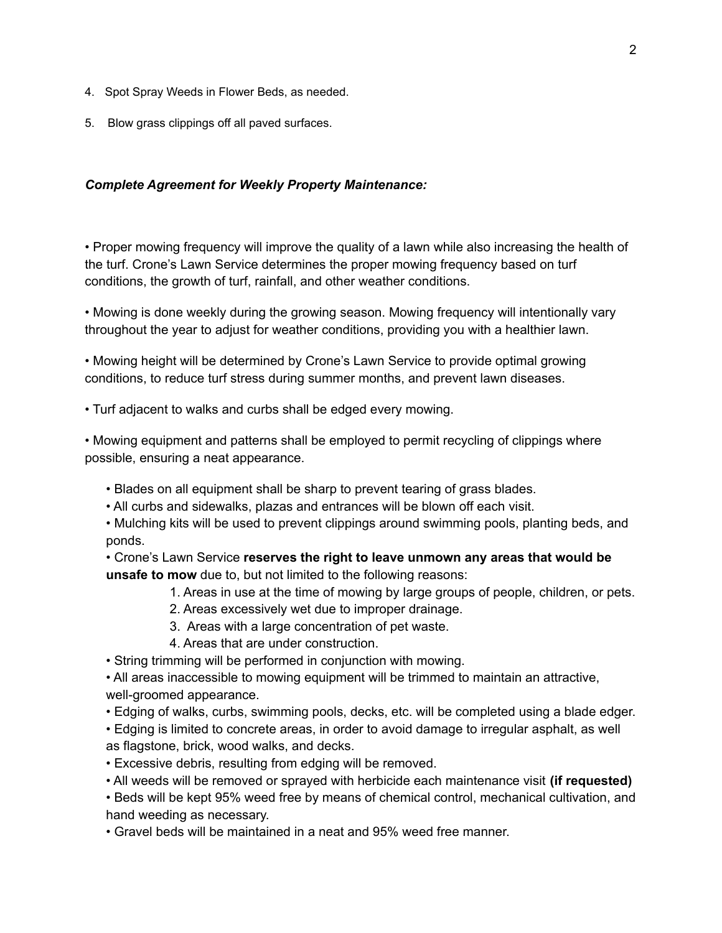- 4. Spot Spray Weeds in Flower Beds, as needed.
- 5. Blow grass clippings off all paved surfaces.

#### *Complete Agreement for Weekly Property Maintenance:*

• Proper mowing frequency will improve the quality of a lawn while also increasing the health of the turf. Crone's Lawn Service determines the proper mowing frequency based on turf conditions, the growth of turf, rainfall, and other weather conditions.

• Mowing is done weekly during the growing season. Mowing frequency will intentionally vary throughout the year to adjust for weather conditions, providing you with a healthier lawn.

• Mowing height will be determined by Crone's Lawn Service to provide optimal growing conditions, to reduce turf stress during summer months, and prevent lawn diseases.

• Turf adjacent to walks and curbs shall be edged every mowing.

• Mowing equipment and patterns shall be employed to permit recycling of clippings where possible, ensuring a neat appearance.

- Blades on all equipment shall be sharp to prevent tearing of grass blades.
- All curbs and sidewalks, plazas and entrances will be blown off each visit.

• Mulching kits will be used to prevent clippings around swimming pools, planting beds, and ponds.

• Crone's Lawn Service **reserves the right to leave unmown any areas that would be unsafe to mow** due to, but not limited to the following reasons:

- 1. Areas in use at the time of mowing by large groups of people, children, or pets.
- 2. Areas excessively wet due to improper drainage.
- 3. Areas with a large concentration of pet waste.
- 4. Areas that are under construction.
- String trimming will be performed in conjunction with mowing.

• All areas inaccessible to mowing equipment will be trimmed to maintain an attractive, well-groomed appearance.

- Edging of walks, curbs, swimming pools, decks, etc. will be completed using a blade edger.
- Edging is limited to concrete areas, in order to avoid damage to irregular asphalt, as well as flagstone, brick, wood walks, and decks.
- Excessive debris, resulting from edging will be removed.
- All weeds will be removed or sprayed with herbicide each maintenance visit **(if requested)**
- Beds will be kept 95% weed free by means of chemical control, mechanical cultivation, and hand weeding as necessary.

• Gravel beds will be maintained in a neat and 95% weed free manner.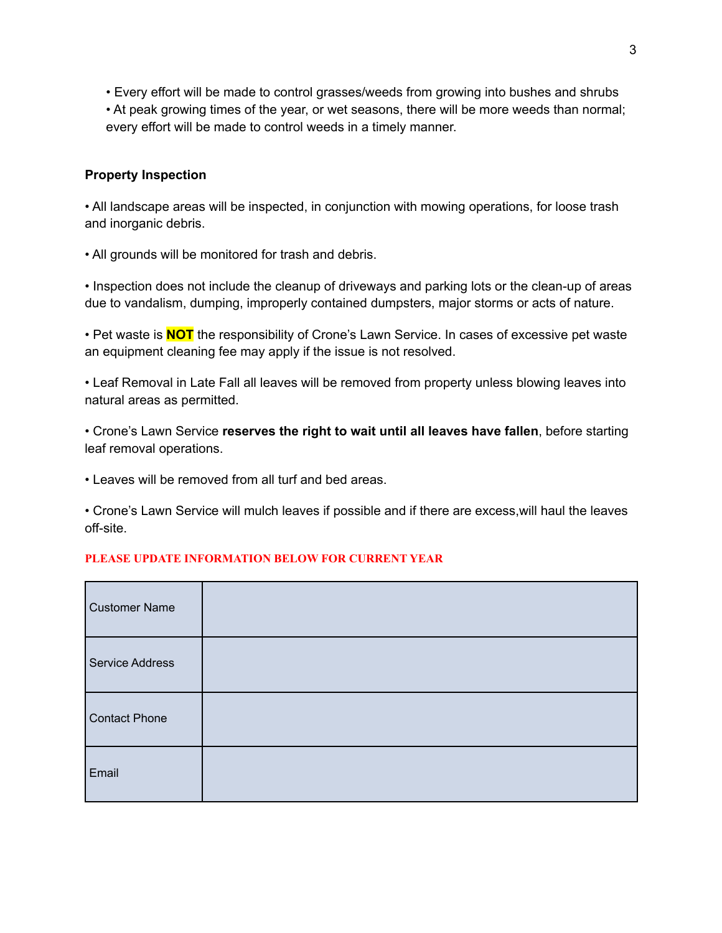• Every effort will be made to control grasses/weeds from growing into bushes and shrubs • At peak growing times of the year, or wet seasons, there will be more weeds than normal; every effort will be made to control weeds in a timely manner.

# **Property Inspection**

• All landscape areas will be inspected, in conjunction with mowing operations, for loose trash and inorganic debris.

• All grounds will be monitored for trash and debris.

• Inspection does not include the cleanup of driveways and parking lots or the clean-up of areas due to vandalism, dumping, improperly contained dumpsters, major storms or acts of nature.

• Pet waste is **NOT** the responsibility of Crone's Lawn Service. In cases of excessive pet waste an equipment cleaning fee may apply if the issue is not resolved.

• Leaf Removal in Late Fall all leaves will be removed from property unless blowing leaves into natural areas as permitted.

• Crone's Lawn Service **reserves the right to wait until all leaves have fallen**, before starting leaf removal operations.

• Leaves will be removed from all turf and bed areas.

• Crone's Lawn Service will mulch leaves if possible and if there are excess,will haul the leaves off-site.

#### **PLEASE UPDATE INFORMATION BELOW FOR CURRENT YEAR**

| <b>Customer Name</b> |  |
|----------------------|--|
| Service Address      |  |
| <b>Contact Phone</b> |  |
| Email                |  |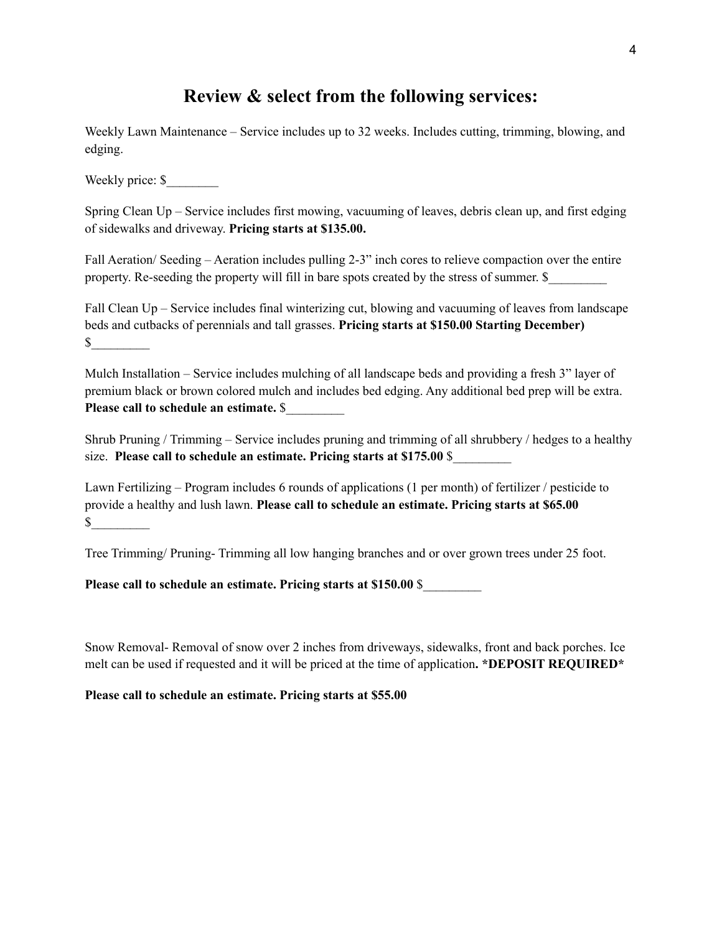# **Review & select from the following services:**

Weekly Lawn Maintenance – Service includes up to 32 weeks. Includes cutting, trimming, blowing, and edging.

Weekly price: \$

Spring Clean Up – Service includes first mowing, vacuuming of leaves, debris clean up, and first edging of sidewalks and driveway. **Pricing starts at \$135.00.**

Fall Aeration/ Seeding – Aeration includes pulling 2-3" inch cores to relieve compaction over the entire property. Re-seeding the property will fill in bare spots created by the stress of summer. \$\_\_\_\_\_\_\_\_\_

Fall Clean Up – Service includes final winterizing cut, blowing and vacuuming of leaves from landscape beds and cutbacks of perennials and tall grasses. **Pricing starts at \$150.00 Starting December)**  $\mathbb S$ 

Mulch Installation – Service includes mulching of all landscape beds and providing a fresh 3" layer of premium black or brown colored mulch and includes bed edging. Any additional bed prep will be extra. **Please call to schedule an estimate.** \$\_\_\_\_\_\_\_\_\_

Shrub Pruning / Trimming – Service includes pruning and trimming of all shrubbery / hedges to a healthy size. **Please call to schedule an estimate. Pricing starts at \$175.00** \$\_\_\_\_\_\_\_\_\_

Lawn Fertilizing – Program includes 6 rounds of applications (1 per month) of fertilizer / pesticide to provide a healthy and lush lawn. **Please call to schedule an estimate. Pricing starts at \$65.00**  $\frac{\text{S}}{\text{S}}$ 

Tree Trimming/ Pruning- Trimming all low hanging branches and or over grown trees under 25 foot.

**Please call to schedule an estimate. Pricing starts at \$150.00** \$\_\_\_\_\_\_\_\_\_

Snow Removal- Removal of snow over 2 inches from driveways, sidewalks, front and back porches. Ice melt can be used if requested and it will be priced at the time of application**. \*DEPOSIT REQUIRED\***

**Please call to schedule an estimate. Pricing starts at \$55.00**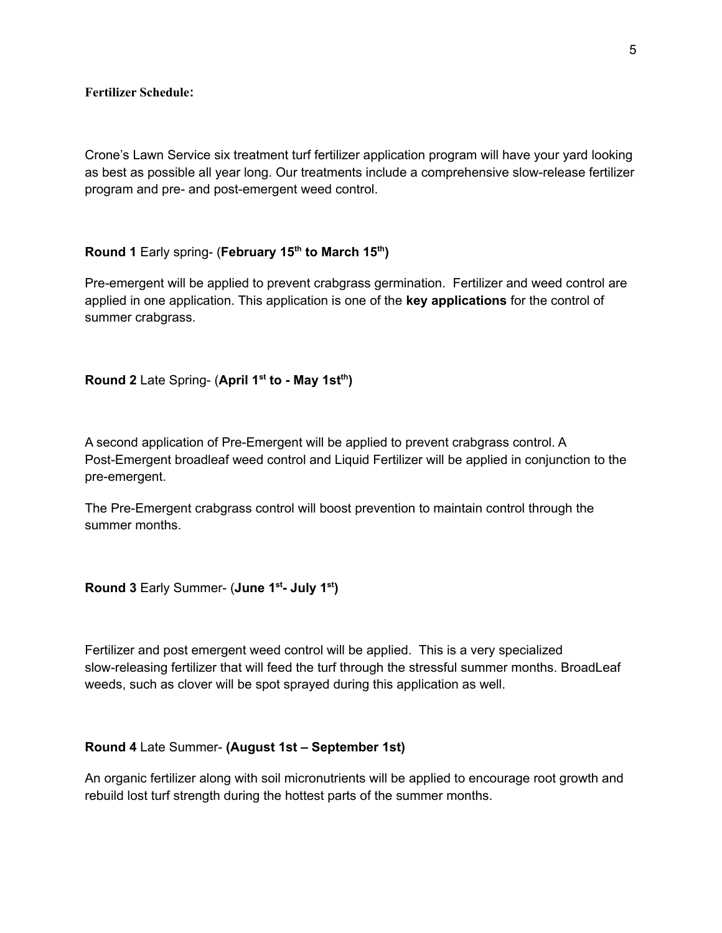**Fertilizer Schedule:**

Crone's Lawn Service six treatment turf fertilizer application program will have your yard looking as best as possible all year long. Our treatments include a comprehensive slow-release fertilizer program and pre- and post-emergent weed control.

#### **Round 1** Early spring- (**February 15 th to March 15 th )**

Pre-emergent will be applied to prevent crabgrass germination. Fertilizer and weed control are applied in one application. This application is one of the **key applications** for the control of summer crabgrass.

#### **Round 2** Late Spring- (April 1<sup>st</sup> to - May 1st<sup>th</sup>)

A second application of Pre-Emergent will be applied to prevent crabgrass control. A Post-Emergent broadleaf weed control and Liquid Fertilizer will be applied in conjunction to the pre-emergent.

The Pre-Emergent crabgrass control will boost prevention to maintain control through the summer months.

**Round 3** Early Summer- (**June 1 st - July 1 st )**

Fertilizer and post emergent weed control will be applied. This is a very specialized slow-releasing fertilizer that will feed the turf through the stressful summer months. BroadLeaf weeds, such as clover will be spot sprayed during this application as well.

#### **Round 4** Late Summer- **(August 1st – September 1st)**

An organic fertilizer along with soil micronutrients will be applied to encourage root growth and rebuild lost turf strength during the hottest parts of the summer months.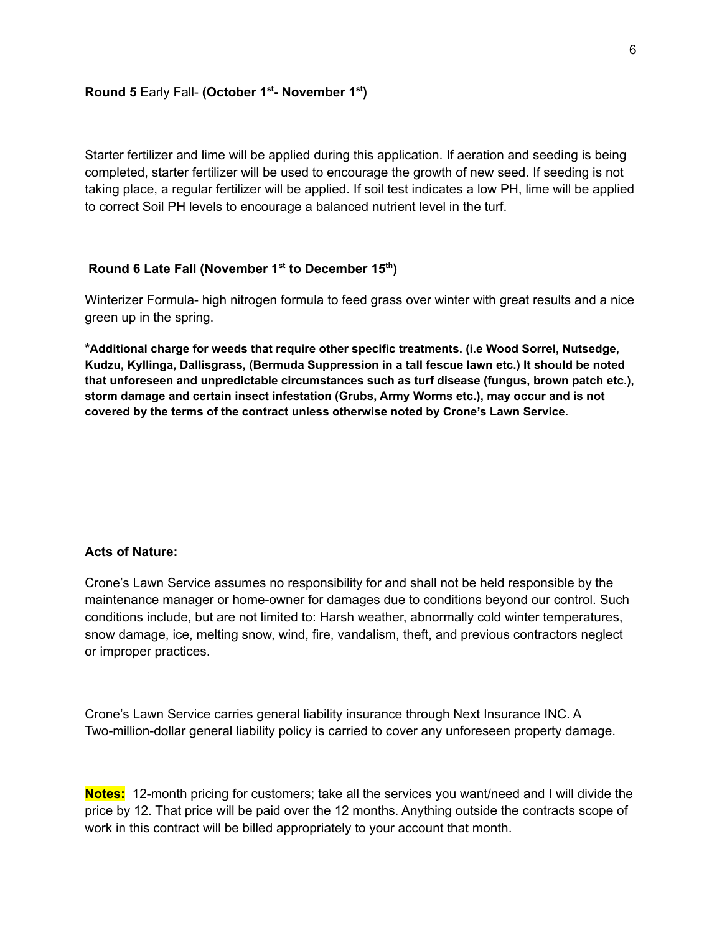#### **Round 5** Early Fall- **(October 1 st - November 1 st )**

Starter fertilizer and lime will be applied during this application. If aeration and seeding is being completed, starter fertilizer will be used to encourage the growth of new seed. If seeding is not taking place, a regular fertilizer will be applied. If soil test indicates a low PH, lime will be applied to correct Soil PH levels to encourage a balanced nutrient level in the turf.

### Round 6 Late Fall (November 1<sup>st</sup> to December 15<sup>th</sup>)

Winterizer Formula- high nitrogen formula to feed grass over winter with great results and a nice green up in the spring.

**\*Additional charge for weeds that require other specific treatments. (i.e Wood Sorrel, Nutsedge, Kudzu, Kyllinga, Dallisgrass, (Bermuda Suppression in a tall fescue lawn etc.) It should be noted that unforeseen and unpredictable circumstances such as turf disease (fungus, brown patch etc.), storm damage and certain insect infestation (Grubs, Army Worms etc.), may occur and is not covered by the terms of the contract unless otherwise noted by Crone's Lawn Service.**

#### **Acts of Nature:**

Crone's Lawn Service assumes no responsibility for and shall not be held responsible by the maintenance manager or home-owner for damages due to conditions beyond our control. Such conditions include, but are not limited to: Harsh weather, abnormally cold winter temperatures, snow damage, ice, melting snow, wind, fire, vandalism, theft, and previous contractors neglect or improper practices.

Crone's Lawn Service carries general liability insurance through Next Insurance INC. A Two-million-dollar general liability policy is carried to cover any unforeseen property damage.

**Notes:** 12-month pricing for customers; take all the services you want/need and I will divide the price by 12. That price will be paid over the 12 months. Anything outside the contracts scope of work in this contract will be billed appropriately to your account that month.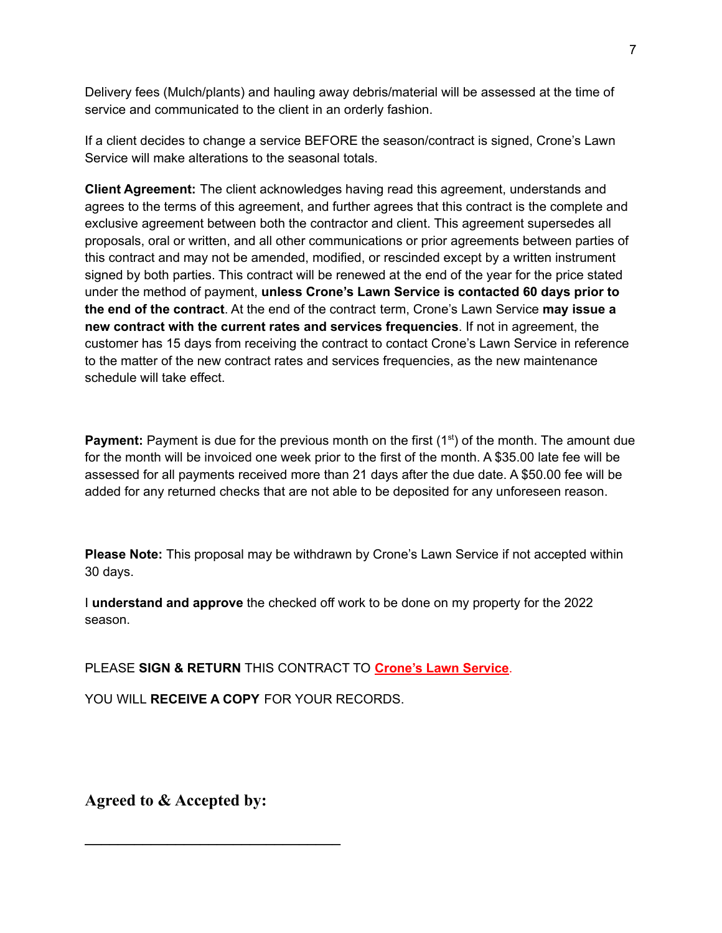Delivery fees (Mulch/plants) and hauling away debris/material will be assessed at the time of service and communicated to the client in an orderly fashion.

If a client decides to change a service BEFORE the season/contract is signed, Crone's Lawn Service will make alterations to the seasonal totals.

**Client Agreement:** The client acknowledges having read this agreement, understands and agrees to the terms of this agreement, and further agrees that this contract is the complete and exclusive agreement between both the contractor and client. This agreement supersedes all proposals, oral or written, and all other communications or prior agreements between parties of this contract and may not be amended, modified, or rescinded except by a written instrument signed by both parties. This contract will be renewed at the end of the year for the price stated under the method of payment, **unless Crone's Lawn Service is contacted 60 days prior to the end of the contract**. At the end of the contract term, Crone's Lawn Service **may issue a new contract with the current rates and services frequencies**. If not in agreement, the customer has 15 days from receiving the contract to contact Crone's Lawn Service in reference to the matter of the new contract rates and services frequencies, as the new maintenance schedule will take effect.

Payment: Payment is due for the previous month on the first (1<sup>st</sup>) of the month. The amount due for the month will be invoiced one week prior to the first of the month. A \$35.00 late fee will be assessed for all payments received more than 21 days after the due date. A \$50.00 fee will be added for any returned checks that are not able to be deposited for any unforeseen reason.

**Please Note:** This proposal may be withdrawn by Crone's Lawn Service if not accepted within 30 days.

I **understand and approve** the checked off work to be done on my property for the 2022 season.

PLEASE **SIGN & RETURN** THIS CONTRACT TO **Crone's Lawn Service**.

YOU WILL **RECEIVE A COPY** FOR YOUR RECORDS.

**Agreed to & Accepted by:**